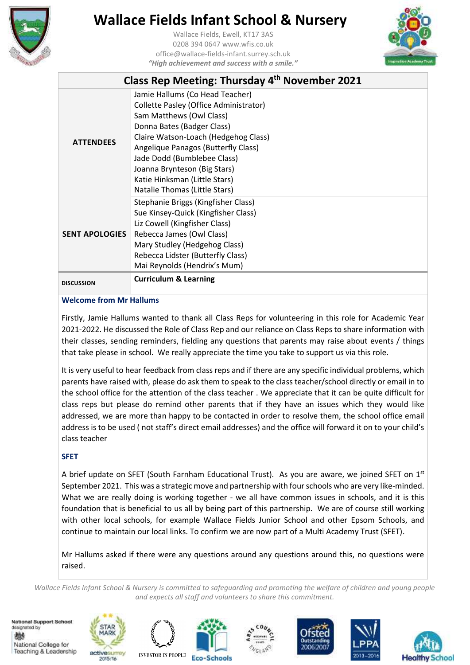

Wallace Fields, Ewell, KT17 3AS 0208 394 0647 www.wfis.co.uk office@wallace-fields-infant.surrey.sch.uk *"High achievement and success with a smile."*



| Class Rep Meeting: Thursday 4th November 2021 |                                                                                                                                                                                                                                                                                                                                                     |  |
|-----------------------------------------------|-----------------------------------------------------------------------------------------------------------------------------------------------------------------------------------------------------------------------------------------------------------------------------------------------------------------------------------------------------|--|
| <b>ATTFNDFFS</b>                              | Jamie Hallums (Co Head Teacher)<br>Collette Pasley (Office Administrator)<br>Sam Matthews (Owl Class)<br>Donna Bates (Badger Class)<br>Claire Watson-Loach (Hedgehog Class)<br>Angelique Panagos (Butterfly Class)<br>Jade Dodd (Bumblebee Class)<br>Joanna Brynteson (Big Stars)<br>Katie Hinksman (Little Stars)<br>Natalie Thomas (Little Stars) |  |
| <b>SENT APOLOGIES</b>                         | Stephanie Briggs (Kingfisher Class)<br>Sue Kinsey-Quick (Kingfisher Class)<br>Liz Cowell (Kingfisher Class)<br>Rebecca James (Owl Class)<br>Mary Studley (Hedgehog Class)<br>Rebecca Lidster (Butterfly Class)<br>Mai Reynolds (Hendrix's Mum)                                                                                                      |  |
| <b>DISCUSSION</b>                             | <b>Curriculum &amp; Learning</b>                                                                                                                                                                                                                                                                                                                    |  |

## **Welcome from Mr Hallums**

Firstly, Jamie Hallums wanted to thank all Class Reps for volunteering in this role for Academic Year 2021-2022. He discussed the Role of Class Rep and our reliance on Class Reps to share information with their classes, sending reminders, fielding any questions that parents may raise about events / things that take please in school. We really appreciate the time you take to support us via this role.

It is very useful to hear feedback from class reps and if there are any specific individual problems, which parents have raised with, please do ask them to speak to the class teacher/school directly or email in to the school office for the attention of the class teacher . We appreciate that it can be quite difficult for class reps but please do remind other parents that if they have an issues which they would like addressed, we are more than happy to be contacted in order to resolve them, the school office email address is to be used ( not staff's direct email addresses) and the office will forward it on to your child's class teacher

## **SFET**

A brief update on SFET (South Farnham Educational Trust). As you are aware, we joined SFET on 1st September 2021. This was a strategic move and partnership with four schools who are very like-minded. What we are really doing is working together - we all have common issues in schools, and it is this foundation that is beneficial to us all by being part of this partnership. We are of course still working with other local schools, for example Wallace Fields Junior School and other Epsom Schools, and continue to maintain our local links. To confirm we are now part of a Multi Academy Trust (SFET).

Mr Hallums asked if there were any questions around any questions around this, no questions were raised.

*Wallace Fields Infant School & Nursery is committed to safeguarding and promoting the welfare of children and young people and expects all staff and volunteers to share this commitment.*

National Support School designated by 燃 National College for Teaching & Leadership











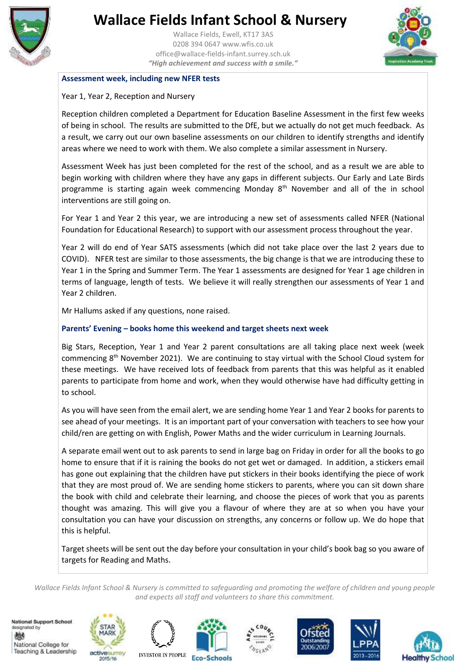

Wallace Fields, Ewell, KT17 3AS 0208 394 0647 www.wfis.co.uk office@wallace-fields-infant.surrey.sch.uk *"High achievement and success with a smile."*



### **Assessment week, including new NFER tests**

### Year 1, Year 2, Reception and Nursery

Reception children completed a Department for Education Baseline Assessment in the first few weeks of being in school. The results are submitted to the DfE, but we actually do not get much feedback. As a result, we carry out our own baseline assessments on our children to identify strengths and identify areas where we need to work with them. We also complete a similar assessment in Nursery.

Assessment Week has just been completed for the rest of the school, and as a result we are able to begin working with children where they have any gaps in different subjects. Our Early and Late Birds programme is starting again week commencing Monday 8<sup>th</sup> November and all of the in school interventions are still going on.

For Year 1 and Year 2 this year, we are introducing a new set of assessments called NFER (National Foundation for Educational Research) to support with our assessment process throughout the year.

Year 2 will do end of Year SATS assessments (which did not take place over the last 2 years due to COVID). NFER test are similar to those assessments, the big change is that we are introducing these to Year 1 in the Spring and Summer Term. The Year 1 assessments are designed for Year 1 age children in terms of language, length of tests. We believe it will really strengthen our assessments of Year 1 and Year 2 children.

Mr Hallums asked if any questions, none raised.

## **Parents' Evening – books home this weekend and target sheets next week**

Big Stars, Reception, Year 1 and Year 2 parent consultations are all taking place next week (week commencing 8th November 2021). We are continuing to stay virtual with the School Cloud system for these meetings. We have received lots of feedback from parents that this was helpful as it enabled parents to participate from home and work, when they would otherwise have had difficulty getting in to school.

As you will have seen from the email alert, we are sending home Year 1 and Year 2 books for parents to see ahead of your meetings. It is an important part of your conversation with teachers to see how your child/ren are getting on with English, Power Maths and the wider curriculum in Learning Journals.

A separate email went out to ask parents to send in large bag on Friday in order for all the books to go home to ensure that if it is raining the books do not get wet or damaged. In addition, a stickers email has gone out explaining that the children have put stickers in their books identifying the piece of work that they are most proud of. We are sending home stickers to parents, where you can sit down share the book with child and celebrate their learning, and choose the pieces of work that you as parents thought was amazing. This will give you a flavour of where they are at so when you have your consultation you can have your discussion on strengths, any concerns or follow up. We do hope that this is helpful.

Target sheets will be sent out the day before your consultation in your child's book bag so you aware of targets for Reading and Maths.

*Wallace Fields Infant School & Nursery is committed to safeguarding and promoting the welfare of children and young people and expects all staff and volunteers to share this commitment.*

National Support School designated by 燃 National College for Teaching & Leadership











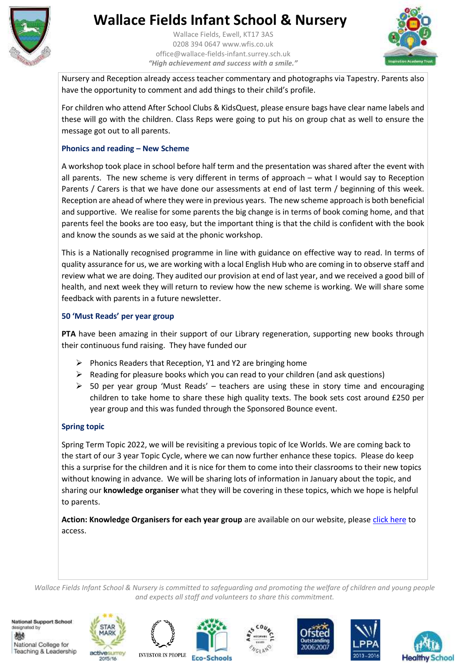

Wallace Fields, Ewell, KT17 3AS 0208 394 0647 www.wfis.co.uk office@wallace-fields-infant.surrey.sch.uk *"High achievement and success with a smile."*



Nursery and Reception already access teacher commentary and photographs via Tapestry. Parents also have the opportunity to comment and add things to their child's profile.

For children who attend After School Clubs & KidsQuest, please ensure bags have clear name labels and these will go with the children. Class Reps were going to put his on group chat as well to ensure the message got out to all parents.

## **Phonics and reading – New Scheme**

A workshop took place in school before half term and the presentation was shared after the event with all parents. The new scheme is very different in terms of approach – what I would say to Reception Parents / Carers is that we have done our assessments at end of last term / beginning of this week. Reception are ahead of where they were in previous years. The new scheme approach is both beneficial and supportive. We realise for some parents the big change is in terms of book coming home, and that parents feel the books are too easy, but the important thing is that the child is confident with the book and know the sounds as we said at the phonic workshop.

This is a Nationally recognised programme in line with guidance on effective way to read. In terms of quality assurance for us, we are working with a local English Hub who are coming in to observe staff and review what we are doing. They audited our provision at end of last year, and we received a good bill of health, and next week they will return to review how the new scheme is working. We will share some feedback with parents in a future newsletter.

## **50 'Must Reads' per year group**

**PTA** have been amazing in their support of our Library regeneration, supporting new books through their continuous fund raising. They have funded our

- $\triangleright$  Phonics Readers that Reception, Y1 and Y2 are bringing home
- $\triangleright$  Reading for pleasure books which you can read to your children (and ask questions)
- $\geq$  50 per year group 'Must Reads' teachers are using these in story time and encouraging children to take home to share these high quality texts. The book sets cost around £250 per year group and this was funded through the Sponsored Bounce event.

## **Spring topic**

Spring Term Topic 2022, we will be revisiting a previous topic of Ice Worlds. We are coming back to the start of our 3 year Topic Cycle, where we can now further enhance these topics. Please do keep this a surprise for the children and it is nice for them to come into their classrooms to their new topics without knowing in advance. We will be sharing lots of information in January about the topic, and sharing our **knowledge organiser** what they will be covering in these topics, which we hope is helpful to parents.

**Action: Knowledge Organisers for each year group** are available on our website, please [click here](https://www.wallacefieldsinfantschool.co.uk/curriculum/curriculum-map) to access.

*Wallace Fields Infant School & Nursery is committed to safeguarding and promoting the welfare of children and young people and expects all staff and volunteers to share this commitment.*

National Support School designated by 燃 National College for Teaching & Leadership











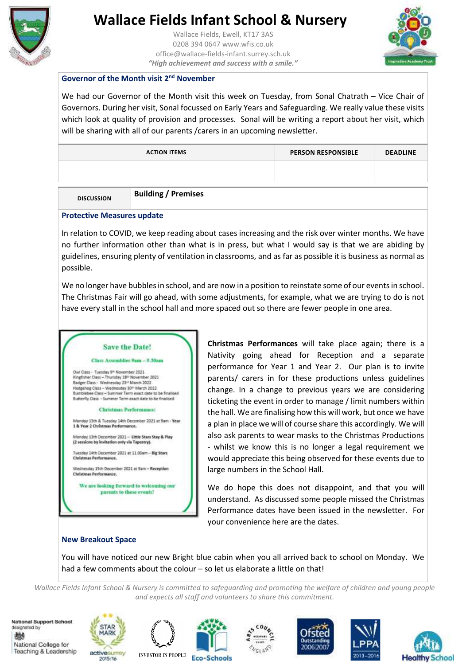

Wallace Fields, Ewell, KT17 3AS 0208 394 0647 www.wfis.co.uk office@wallace-fields-infant.surrey.sch.uk *"High achievement and success with a smile."*



### **Governor of the Month visit 2nd November**

We had our Governor of the Month visit this week on Tuesday, from Sonal Chatrath – Vice Chair of Governors. During her visit, Sonal focussed on Early Years and Safeguarding. We really value these visits which look at quality of provision and processes. Sonal will be writing a report about her visit, which will be sharing with all of our parents / carers in an upcoming newsletter.

|                   | <b>ACTION ITEMS</b>        | <b>PERSON RESPONSIBLE</b> | <b>DEADLINE</b> |
|-------------------|----------------------------|---------------------------|-----------------|
|                   |                            |                           |                 |
|                   |                            |                           |                 |
| <b>DISCUSSION</b> | <b>Building / Premises</b> |                           |                 |

### **Protective Measures update**

In relation to COVID, we keep reading about cases increasing and the risk over winter months. We have no further information other than what is in press, but what I would say is that we are abiding by guidelines, ensuring plenty of ventilation in classrooms, and as far as possible it is business as normal as possible.

We no longer have bubbles in school, and are now in a position to reinstate some of our events in school. The Christmas Fair will go ahead, with some adjustments, for example, what we are trying to do is not have every stall in the school hall and more spaced out so there are fewer people in one area.

## **Save the Date!**

Class Assemblies 9am - 0.30am

Out Class - Tuesday 9<sup>th</sup> November 2021<br>Kingfisher Class - Thursday 18<sup>th</sup> November 2021 Badger Class - Wednesday 23<sup>td</sup> March 2022<br>Hedgehog Class - Wednesday 30<sup>th</sup> March 2022 Bumblebee Class - Summer Term exact date to be finalised Butterfly Class - Summer Term exact date to be finalised

#### **Christmas Performance:**

Monday 13th & Tuesday 14th December 2021 at 5am - Year 1 & Year 2 Christmas Performance.

day 13th December 2021 - Little Stars Stay & Play (2 sessions by invitation only via Tapestry).

esday 14th December 2021 at 11.00mm - Big Stars Christmas Reyformance

Wednesday 15th December 2021 at 9am - Reception Christmas Performance.

We are looking forward to welcoming our parents to these events!

**Christmas Performances** will take place again; there is a Nativity going ahead for Reception and a separate performance for Year 1 and Year 2. Our plan is to invite parents/ carers in for these productions unless guidelines change. In a change to previous years we are considering ticketing the event in order to manage / limit numbers within the hall. We are finalising how this will work, but once we have a plan in place we will of course share this accordingly. We will also ask parents to wear masks to the Christmas Productions - whilst we know this is no longer a legal requirement we would appreciate this being observed for these events due to large numbers in the School Hall.

We do hope this does not disappoint, and that you will understand. As discussed some people missed the Christmas Performance dates have been issued in the newsletter. For your convenience here are the dates.

### **New Breakout Space**

You will have noticed our new Bright blue cabin when you all arrived back to school on Monday. We had a few comments about the colour – so let us elaborate a little on that!

*Wallace Fields Infant School & Nursery is committed to safeguarding and promoting the welfare of children and young people and expects all staff and volunteers to share this commitment.*

National Support School designated by 燃 National College for Teaching & Leadership











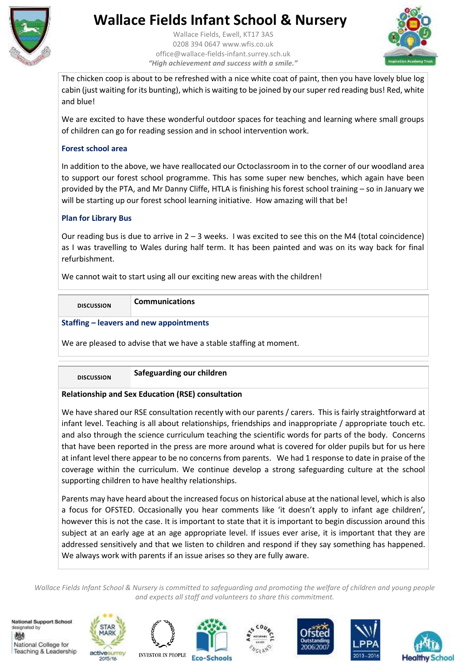

Wallace Fields, Ewell, KT17 3AS 0208 394 0647 www.wfis.co.uk office@wallace-fields-infant.surrey.sch.uk *"High achievement and success with a smile."*



The chicken coop is about to be refreshed with a nice white coat of paint, then you have lovely blue log cabin (just waiting for its bunting), which is waiting to be joined by our super red reading bus! Red, white and blue!

We are excited to have these wonderful outdoor spaces for teaching and learning where small groups of children can go for reading session and in school intervention work.

## **Forest school area**

In addition to the above, we have reallocated our Octoclassroom in to the corner of our woodland area to support our forest school programme. This has some super new benches, which again have been provided by the PTA, and Mr Danny Cliffe, HTLA is finishing his forest school training – so in January we will be starting up our forest school learning initiative. How amazing will that be!

## **Plan for Library Bus**

Our reading bus is due to arrive in  $2 - 3$  weeks. I was excited to see this on the M4 (total coincidence) as I was travelling to Wales during half term. It has been painted and was on its way back for final refurbishment.

We cannot wait to start using all our exciting new areas with the children!

| <b>DISCUSSION</b> | <b>Communications</b> |
|-------------------|-----------------------|
|-------------------|-----------------------|

## **Staffing – leavers and new appointments**

We are pleased to advise that we have a stable staffing at moment.

**DISCUSSION Safeguarding our children**

## **Relationship and Sex Education (RSE) consultation**

We have shared our RSE consultation recently with our parents / carers. This is fairly straightforward at infant level. Teaching is all about relationships, friendships and inappropriate / appropriate touch etc. and also through the science curriculum teaching the scientific words for parts of the body. Concerns that have been reported in the press are more around what is covered for older pupils but for us here at infant level there appear to be no concerns from parents. We had 1 response to date in praise of the coverage within the curriculum. We continue develop a strong safeguarding culture at the school supporting children to have healthy relationships.

Parents may have heard about the increased focus on historical abuse at the national level, which is also a focus for OFSTED. Occasionally you hear comments like 'it doesn't apply to infant age children', however this is not the case. It is important to state that it is important to begin discussion around this subject at an early age at an age appropriate level. If issues ever arise, it is important that they are addressed sensitively and that we listen to children and respond if they say something has happened. We always work with parents if an issue arises so they are fully aware.

*Wallace Fields Infant School & Nursery is committed to safeguarding and promoting the welfare of children and young people and expects all staff and volunteers to share this commitment.*

**National Support School** designated by 燃 National College for Teaching & Leadership











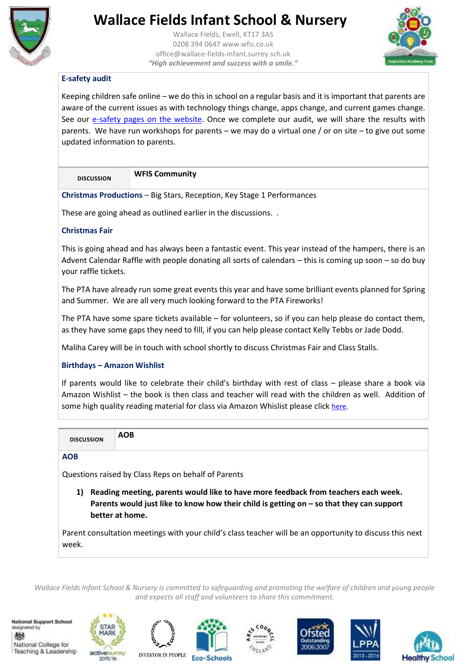

Wallace Fields, Ewell, KT17 3AS 0208 394 0647 www.wfis.co.uk office@wallace-fields-infant.surrey.sch.uk *"High achievement and success with a smile."*



## **E-safety audit**

Keeping children safe online – we do this in school on a regular basis and it is important that parents are aware of the current issues as with technology things change, apps change, and current games change. See our [e-safety pages on the website.](https://www.wallacefieldsinfantschool.co.uk/safeguarding/e-safety) Once we complete our audit, we will share the results with parents. We have run workshops for parents – we may do a virtual one / or on site – to give out some updated information to parents.

## **DISCUSSION WFIS Community**

**Christmas Productions** – Big Stars, Reception, Key Stage 1 Performances

These are going ahead as outlined earlier in the discussions. .

## **Christmas Fair**

This is going ahead and has always been a fantastic event. This year instead of the hampers, there is an Advent Calendar Raffle with people donating all sorts of calendars – this is coming up soon – so do buy your raffle tickets.

The PTA have already run some great events this year and have some brilliant events planned for Spring and Summer. We are all very much looking forward to the PTA Fireworks!

The PTA have some spare tickets available – for volunteers, so if you can help please do contact them, as they have some gaps they need to fill, if you can help please contact Kelly Tebbs or Jade Dodd.

Maliha Carey will be in touch with school shortly to discuss Christmas Fair and Class Stalls.

## **Birthdays – Amazon Wishlist**

If parents would like to celebrate their child's birthday with rest of class – please share a book via Amazon Wishlist – the book is then class and teacher will read with the children as well. Addition of some high quality reading material for class via Amazon Whislist please click [here.](https://amzn.eu/fGAhzeF)

| <b>DISCUSSION</b>                                                                   | <b>AOB</b> |  |
|-------------------------------------------------------------------------------------|------------|--|
| <b>AOB</b>                                                                          |            |  |
| Questions raised by Class Reps on behalf of Parents                                 |            |  |
| . Reading meeting, parents would like to have more feedback from teachers each week |            |  |

**1) Reading meeting, parents would like to have more feedback from teachers each week.**  Parents would just like to know how their child is getting on - so that they can support **better at home.** 

Parent consultation meetings with your child's class teacher will be an opportunity to discuss this next week.

*Wallace Fields Infant School & Nursery is committed to safeguarding and promoting the welfare of children and young people and expects all staff and volunteers to share this commitment.*

National Support School designated by 燃 National College for Teaching & Leadership